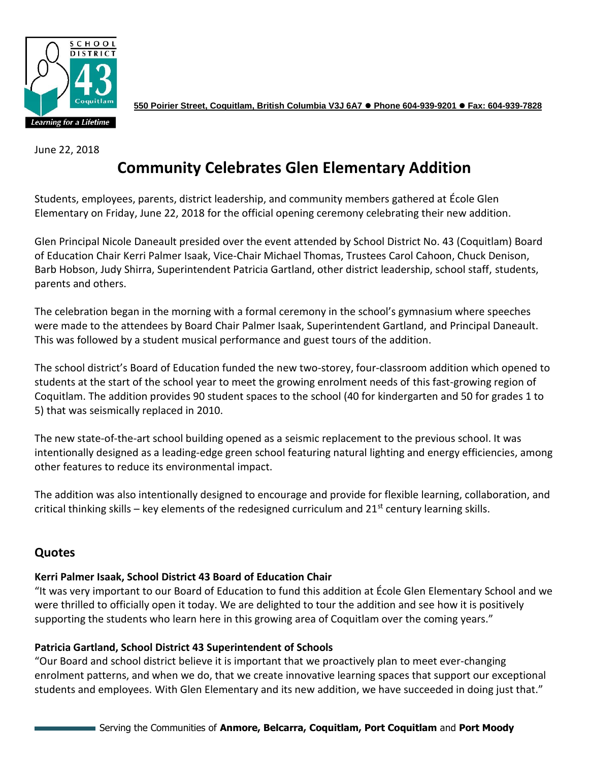

**550 Poirier Street, Coquitlam, British Columbia V3J 6A7** ⚫ **Phone 604-939-9201** ⚫ **Fax: 604-939-7828**

June 22, 2018

# **Community Celebrates Glen Elementary Addition**

Students, employees, parents, district leadership, and community members gathered at École Glen Elementary on Friday, June 22, 2018 for the official opening ceremony celebrating their new addition.

Glen Principal Nicole Daneault presided over the event attended by School District No. 43 (Coquitlam) Board of Education Chair Kerri Palmer Isaak, Vice-Chair Michael Thomas, Trustees Carol Cahoon, Chuck Denison, Barb Hobson, Judy Shirra, Superintendent Patricia Gartland, other district leadership, school staff, students, parents and others.

The celebration began in the morning with a formal ceremony in the school's gymnasium where speeches were made to the attendees by Board Chair Palmer Isaak, Superintendent Gartland, and Principal Daneault. This was followed by a student musical performance and guest tours of the addition.

The school district's Board of Education funded the new two-storey, four-classroom addition which opened to students at the start of the school year to meet the growing enrolment needs of this fast-growing region of Coquitlam. The addition provides 90 student spaces to the school (40 for kindergarten and 50 for grades 1 to 5) that was seismically replaced in 2010.

The new state-of-the-art school building opened as a seismic replacement to the previous school. It was intentionally designed as a leading-edge green school featuring natural lighting and energy efficiencies, among other features to reduce its environmental impact.

The addition was also intentionally designed to encourage and provide for flexible learning, collaboration, and critical thinking skills – key elements of the redesigned curriculum and  $21<sup>st</sup>$  century learning skills.

## **Quotes**

#### **Kerri Palmer Isaak, School District 43 Board of Education Chair**

"It was very important to our Board of Education to fund this addition at École Glen Elementary School and we were thrilled to officially open it today. We are delighted to tour the addition and see how it is positively supporting the students who learn here in this growing area of Coquitlam over the coming years."

#### **Patricia Gartland, School District 43 Superintendent of Schools**

"Our Board and school district believe it is important that we proactively plan to meet ever-changing enrolment patterns, and when we do, that we create innovative learning spaces that support our exceptional students and employees. With Glen Elementary and its new addition, we have succeeded in doing just that."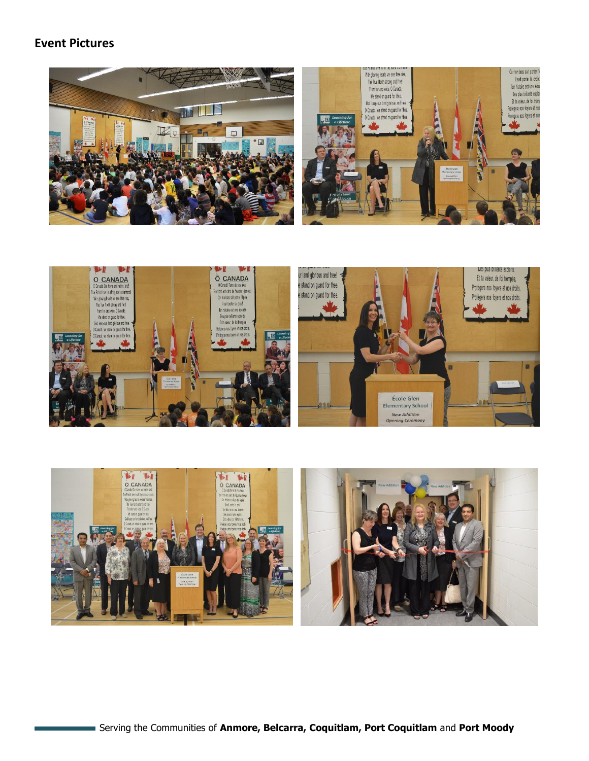### **Event Pictures**